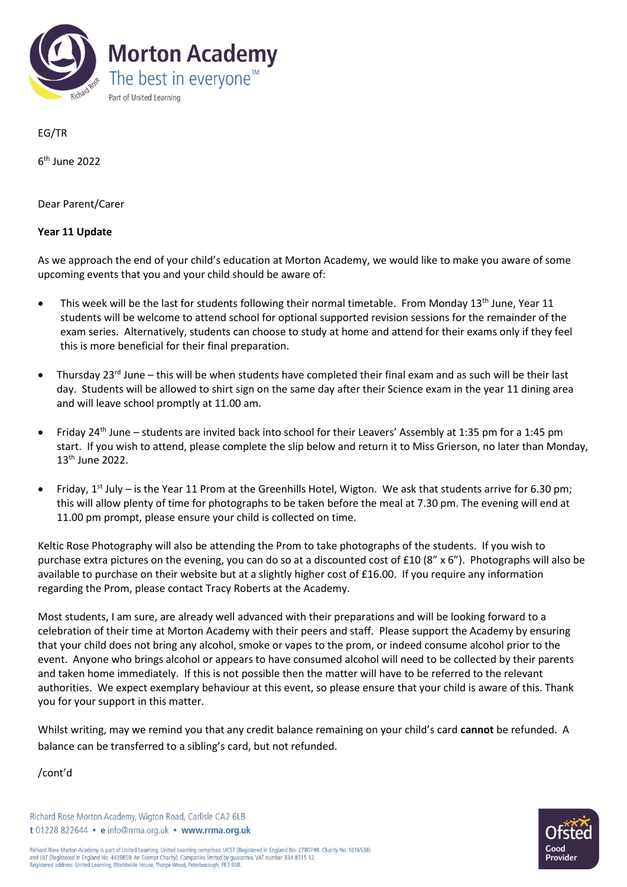

EG/TR

6 th June 2022

Dear Parent/Carer

## **Year 11 Update**

As we approach the end of your child's education at Morton Academy, we would like to make you aware of some upcoming events that you and your child should be aware of:

- This week will be the last for students following their normal timetable. From Monday  $13<sup>th</sup>$  June, Year 11 students will be welcome to attend school for optional supported revision sessions for the remainder of the exam series. Alternatively, students can choose to study at home and attend for their exams only if they feel this is more beneficial for their final preparation.
- Thursday 23<sup>rd</sup> June this will be when students have completed their final exam and as such will be their last day. Students will be allowed to shirt sign on the same day after their Science exam in the year 11 dining area and will leave school promptly at 11.00 am.
- Friday 24<sup>th</sup> June students are invited back into school for their Leavers' Assembly at 1:35 pm for a 1:45 pm start. If you wish to attend, please complete the slip below and return it to Miss Grierson, no later than Monday, 13th June 2022.
- Friday,  $1^{st}$  July is the Year 11 Prom at the Greenhills Hotel, Wigton. We ask that students arrive for 6.30 pm; this will allow plenty of time for photographs to be taken before the meal at 7.30 pm. The evening will end at 11.00 pm prompt, please ensure your child is collected on time.

Keltic Rose Photography will also be attending the Prom to take photographs of the students. If you wish to purchase extra pictures on the evening, you can do so at a discounted cost of £10 (8" x 6"). Photographs will also be available to purchase on their website but at a slightly higher cost of £16.00. If you require any information regarding the Prom, please contact Tracy Roberts at the Academy.

Most students, I am sure, are already well advanced with their preparations and will be looking forward to a celebration of their time at Morton Academy with their peers and staff. Please support the Academy by ensuring that your child does not bring any alcohol, smoke or vapes to the prom, or indeed consume alcohol prior to the event. Anyone who brings alcohol or appears to have consumed alcohol will need to be collected by their parents and taken home immediately. If this is not possible then the matter will have to be referred to the relevant authorities. We expect exemplary behaviour at this event, so please ensure that your child is aware of this. Thank you for your support in this matter.

Whilst writing, may we remind you that any credit balance remaining on your child's card **cannot** be refunded. A balance can be transferred to a sibling's card, but not refunded.

/cont'd

Richard Rose Morton Academy, Wigton Road, Carlisle CA2 6LB t 01228 822644 · e info@rrma.org.uk · www.rrma.org.uk